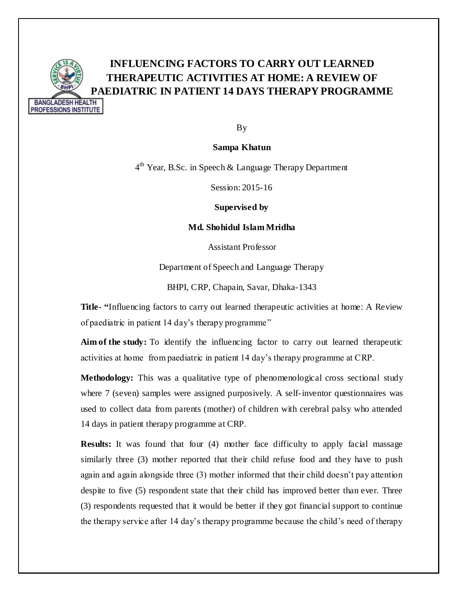

## **INFLUENCING FACTORS TO CARRY OUT LEARNED THERAPEUTIC ACTIVITIES AT HOME: A REVIEW OF PAEDIATRIC IN PATIENT 14 DAYS THERAPY PROGRAMME**

By

**Sampa Khatun**

4<sup>th</sup> Year, B.Sc. in Speech & Language Therapy Department

Session: 2015-16

**Supervised by**

**Md. Shohidul Islam Mridha**

Assistant Professor

Department of Speech and Language Therapy

BHPI, CRP, Chapain, Savar, Dhaka-1343

**Title- "**Influencing factors to carry out learned therapeutic activities at home: A Review of paediatric in patient 14 day's therapy programme"

**Aim of the study:** To identify the influencing factor to carry out learned therapeutic activities at home from paediatric in patient 14 day's therapy programme at CRP.

**Methodology:** This was a qualitative type of phenomenological cross sectional study where 7 (seven) samples were assigned purposively. A self-inventor questionnaires was used to collect data from parents (mother) of children with cerebral palsy who attended 14 days in patient therapy programme at CRP.

**Results:** It was found that four (4) mother face difficulty to apply facial massage similarly three (3) mother reported that their child refuse food and they have to push again and again alongside three (3) mother informed that their child doesn't pay attention despite to five (5) respondent state that their child has improved better than ever. Three (3) respondents requested that it would be better if they got financial support to continue the therapy service after 14 day's therapy programme because the child's need of therapy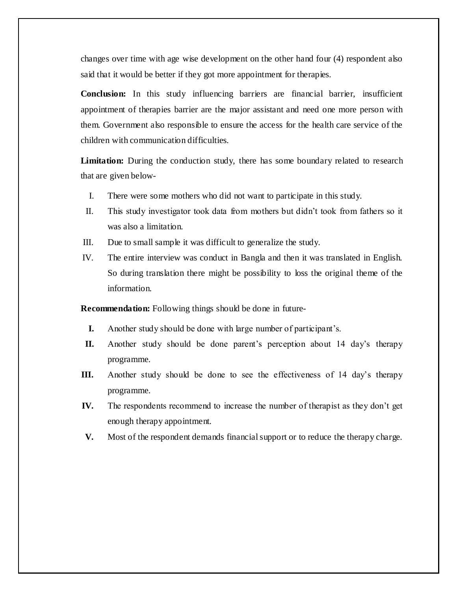changes over time with age wise development on the other hand four (4) respondent also said that it would be better if they got more appointment for therapies.

**Conclusion:** In this study influencing barriers are financial barrier, insufficient appointment of therapies barrier are the major assistant and need one more person with them. Government also responsible to ensure the access for the health care service of the children with communication difficulties.

Limitation: During the conduction study, there has some boundary related to research that are given below-

- I. There were some mothers who did not want to participate in this study.
- II. This study investigator took data from mothers but didn't took from fathers so it was also a limitation.
- III. Due to small sample it was difficult to generalize the study.
- IV. The entire interview was conduct in Bangla and then it was translated in English. So during translation there might be possibility to loss the original theme of the information.

**Recommendation:** Following things should be done in future-

- **I.** Another study should be done with large number of participant's.
- **II.** Another study should be done parent's perception about 14 day's therapy programme.
- **III.** Another study should be done to see the effectiveness of 14 day's therapy programme.
- **IV.** The respondents recommend to increase the number of therapist as they don't get enough therapy appointment.
- **V.** Most of the respondent demands financial support or to reduce the therapy charge.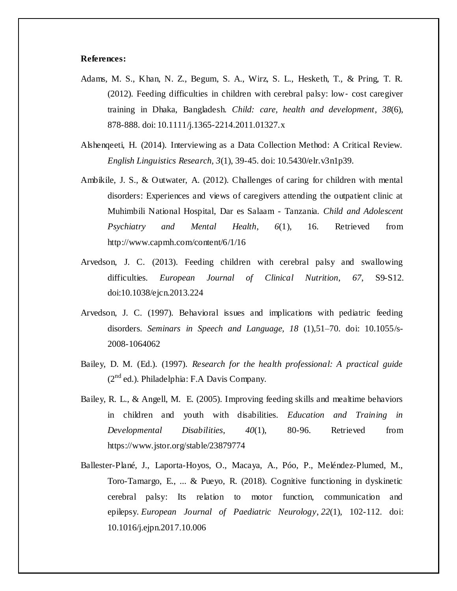## **References:**

- Adams, M. S., Khan, N. Z., Begum, S. A., Wirz, S. L., Hesketh, T., & Pring, T. R. (2012). Feeding difficulties in children with cerebral palsy: low‐ cost caregiver training in Dhaka, Bangladesh. *Child: care, health and development*, *38*(6), 878-888. doi: 10.1111/j.1365-2214.2011.01327.x
- Alshenqeeti, H. (2014). Interviewing as a Data Collection Method: A Critical Review. *English Linguistics Research, 3*(1), 39-45. doi: 10.5430/elr.v3n1p39.
- Ambikile, J. S., & Outwater, A. (2012). Challenges of caring for children with mental disorders: Experiences and views of caregivers attending the outpatient clinic at Muhimbili National Hospital, Dar es Salaam - Tanzania. *Child and Adolescent Psychiatry and Mental Health*, *6*(1), 16. Retrieved from http://www.capmh.com/content/6/1/16
- Arvedson, J. C. (2013). Feeding children with cerebral palsy and swallowing difficulties. *European Journal of Clinical Nutrition*, *67*, S9-S12. doi:10.1038/ejcn.2013.224
- Arvedson, J. C. (1997). Behavioral issues and implications with pediatric feeding disorders. *Seminars in Speech and Language, 18* (1),51–70. doi: 10.1055/s-2008-1064062
- Bailey, D. M. (Ed.). (1997). *Research for the health professional: A practical guide*   $(2^{nd}$  ed.). Philadelphia: F.A Davis Company.
- Bailey, R. L., & Angell, M. E. (2005). Improving feeding skills and mealtime behaviors in children and youth with disabilities. *Education and Training in Developmental Disabilities*, *40*(1), 80-96. Retrieved from https://www.jstor.org/stable/23879774
- Ballester-Plané, J., Laporta-Hoyos, O., Macaya, A., Póo, P., Meléndez-Plumed, M., Toro-Tamargo, E., ... & Pueyo, R. (2018). Cognitive functioning in dyskinetic cerebral palsy: Its relation to motor function, communication and epilepsy. *European Journal of Paediatric Neurology*, *22*(1), 102-112. doi: 10.1016/j.ejpn.2017.10.006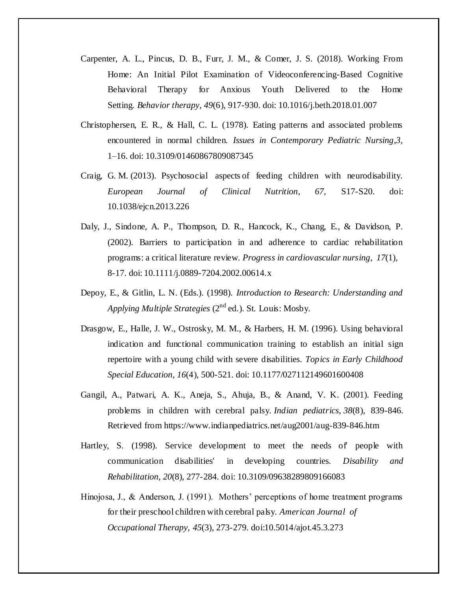- Carpenter, A. L., Pincus, D. B., Furr, J. M., & Comer, J. S. (2018). Working From Home: An Initial Pilot Examination of Videoconferencing-Based Cognitive Behavioral Therapy for Anxious Youth Delivered to the Home Setting. *Behavior therapy*, *49*(6), 917-930. doi: 10.1016/j.beth.2018.01.007
- Christophersen, E. R., & Hall, C. L. (1978). Eating patterns and associated problems encountered in normal children. *Issues in Contemporary Pediatric Nursing*,*3,*  1–16. doi: 10.3109/01460867809087345
- Craig, G. M. (2013). Psychosocial aspects of feeding children with neurodisability. *European Journal of Clinical Nutrition*, *67*, S17-S20. doi: 10.1038/ejcn.2013.226
- Daly, J., Sindone, A. P., Thompson, D. R., Hancock, K., Chang, E., & Davidson, P. (2002). Barriers to participation in and adherence to cardiac rehabilitation programs: a critical literature review. *Progress in cardiovascular nursing*, *17*(1), 8-17. doi: 10.1111/j.0889-7204.2002.00614.x
- Depoy, E., & Gitlin, L. N. (Eds.). (1998). *Introduction to Research: Understanding and Applying Multiple Strategies* (2nd ed.). St. Louis: Mosby.
- Drasgow, E., Halle, J. W., Ostrosky, M. M., & Harbers, H. M. (1996). Using behavioral indication and functional communication training to establish an initial sign repertoire with a young child with severe disabilities. *Topics in Early Childhood Special Education*, *16*(4), 500-521. doi: 10.1177/027112149601600408
- Gangil, A., Patwari, A. K., Aneja, S., Ahuja, B., & Anand, V. K. (2001). Feeding problems in children with cerebral palsy. *Indian pediatrics*, *38*(8), 839-846. Retrieved from https://www.indianpediatrics.net/aug2001/aug-839-846.htm
- Hartley, S. (1998). Service development to meet the needs of people with communication disabilities' in developing countries. *Disability and Rehabilitation*, *20*(8), 277-284. doi: 10.3109/09638289809166083
- Hinojosa, J., & Anderson, J. (1991). Mothers' perceptions of home treatment programs for their preschool children with cerebral palsy. *American Journal of Occupational Therapy*, *45*(3), 273-279. doi:10.5014/ajot.45.3.273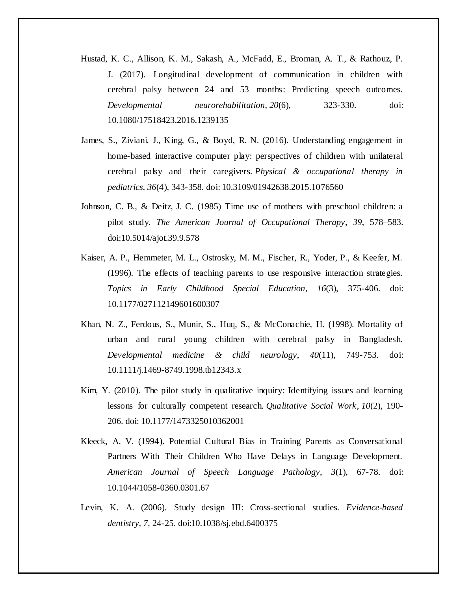- Hustad, K. C., Allison, K. M., Sakash, A., McFadd, E., Broman, A. T., & Rathouz, P. J. (2017). Longitudinal development of communication in children with cerebral palsy between 24 and 53 months: Predicting speech outcomes. *Developmental neurorehabilitation*, *20*(6), 323-330. doi: 10.1080/17518423.2016.1239135
- James, S., Ziviani, J., King, G., & Boyd, R. N. (2016). Understanding engagement in home-based interactive computer play: perspectives of children with unilateral cerebral palsy and their caregivers. *Physical & occupational therapy in pediatrics*, *36*(4), 343-358. doi: 10.3109/01942638.2015.1076560
- Johnson, C. B., & Deitz, J. C. (1985) Time use of mothers with preschool children: a pilot study. *The American Journal of Occupational Therapy*, *39*, 578–583. doi:10.5014/ajot.39.9.578
- Kaiser, A. P., Hemmeter, M. L., Ostrosky, M. M., Fischer, R., Yoder, P., & Keefer, M. (1996). The effects of teaching parents to use responsive interaction strategies. *Topics in Early Childhood Special Education*, *16*(3), 375-406. doi: 10.1177/027112149601600307
- Khan, N. Z., Ferdous, S., Munir, S., Huq, S., & McConachie, H. (1998). Mortality of urban and rural young children with cerebral palsy in Bangladesh. *Developmental medicine & child neurology*, *40*(11), 749-753. doi: 10.1111/j.1469-8749.1998.tb12343.x
- Kim, Y. (2010). The pilot study in qualitative inquiry: Identifying issues and learning lessons for culturally competent research. *Qualitative Social Work*, *10*(2), 190- 206. doi: 10.1177/1473325010362001
- Kleeck, A. V. (1994). Potential Cultural Bias in Training Parents as Conversational Partners With Their Children Who Have Delays in Language Development. *American Journal of Speech Language Pathology*, *3*(1), 67-78. doi: 10.1044/1058-0360.0301.67
- Levin, K. A. (2006). Study design III: Cross-sectional studies. *Evidence-based dentistry*, *7*, 24-25. doi:10.1038/sj.ebd.6400375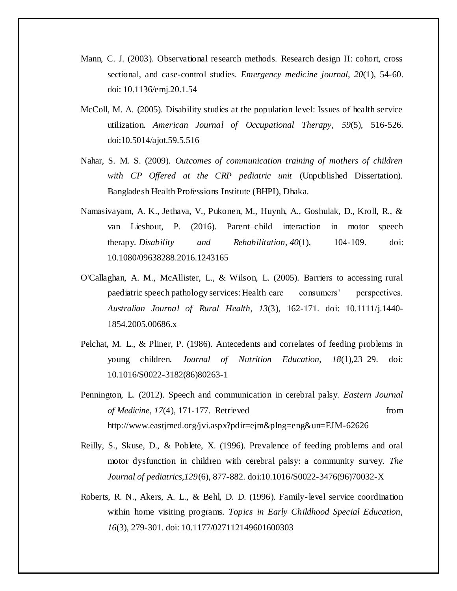- Mann, C. J. (2003). Observational research methods. Research design II: cohort, cross sectional, and case-control studies. *Emergency medicine journal*, *20*(1), 54-60. doi: 10.1136/emj.20.1.54
- McColl, M. A. (2005). Disability studies at the population level: Issues of health service utilization. *American Journal of Occupational Therapy*, *59*(5), 516-526. doi:10.5014/ajot.59.5.516
- Nahar, S. M. S. (2009). *Outcomes of communication training of mothers of children with CP Offered at the CRP pediatric unit* (Unpublished Dissertation). Bangladesh Health Professions Institute (BHPI), Dhaka.
- Namasivayam, A. K., Jethava, V., Pukonen, M., Huynh, A., Goshulak, D., Kroll, R., & van Lieshout, P. (2016). Parent–child interaction in motor speech therapy. *Disability and Rehabilitation*, *40*(1), 104-109. doi: 10.1080/09638288.2016.1243165
- O'Callaghan, A. M., McAllister, L., & Wilson, L. (2005). Barriers to accessing rural paediatric speech pathology services:Health care consumers' perspectives. *Australian Journal of Rural Health*, *13*(3), 162-171. doi: 10.1111/j.1440- 1854.2005.00686.x
- Pelchat, M. L., & Pliner, P. (1986). Antecedents and correlates of feeding problems in young children. *Journal of Nutrition Education, 18*(1),23–29. doi: 10.1016/S0022-3182(86)80263-1
- Pennington, L. (2012). Speech and communication in cerebral palsy. *Eastern Journal of Medicine*, 17(4), 171-177. Retrieved from from http://www.eastjmed.org/jvi.aspx?pdir=ejm&plng=eng&un=EJM-62626
- Reilly, S., Skuse, D., & Poblete, X. (1996). Prevalence of feeding problems and oral motor dysfunction in children with cerebral palsy: a community survey. *The Journal of pediatrics,129*(6), 877-882. [doi:10.1016/S0022-3](https://doi.org/10.1016/S0022-)476(96)70032-X
- Roberts, R. N., Akers, A. L., & Behl, D. D. (1996). Family-level service coordination within home visiting programs. *Topics in Early Childhood Special Education*, *16*(3), 279-301. doi: 10.1177/027112149601600303